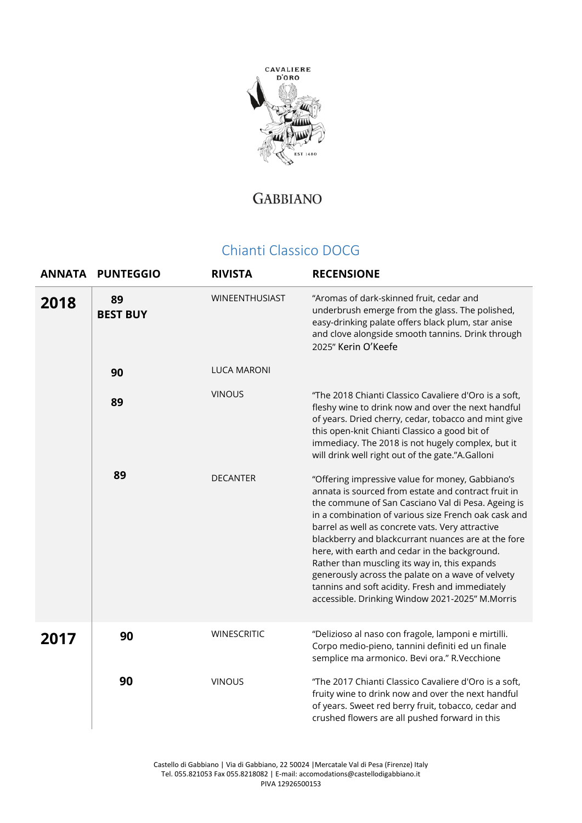

## **GABBIANO**

## Chianti Classico DOCG

|      | ANNATA PUNTEGGIO      | <b>RIVISTA</b>     | <b>RECENSIONE</b>                                                                                                                                                                                                                                                                                                                                                                                                                                                                                                                                                                             |
|------|-----------------------|--------------------|-----------------------------------------------------------------------------------------------------------------------------------------------------------------------------------------------------------------------------------------------------------------------------------------------------------------------------------------------------------------------------------------------------------------------------------------------------------------------------------------------------------------------------------------------------------------------------------------------|
| 2018 | 89<br><b>BEST BUY</b> | WINEENTHUSIAST     | "Aromas of dark-skinned fruit, cedar and<br>underbrush emerge from the glass. The polished,<br>easy-drinking palate offers black plum, star anise<br>and clove alongside smooth tannins. Drink through<br>2025" Kerin O'Keefe                                                                                                                                                                                                                                                                                                                                                                 |
|      | 90                    | <b>LUCA MARONI</b> |                                                                                                                                                                                                                                                                                                                                                                                                                                                                                                                                                                                               |
|      | 89                    | <b>VINOUS</b>      | "The 2018 Chianti Classico Cavaliere d'Oro is a soft,<br>fleshy wine to drink now and over the next handful<br>of years. Dried cherry, cedar, tobacco and mint give<br>this open-knit Chianti Classico a good bit of<br>immediacy. The 2018 is not hugely complex, but it<br>will drink well right out of the gate."A.Galloni                                                                                                                                                                                                                                                                 |
|      | 89                    | <b>DECANTER</b>    | "Offering impressive value for money, Gabbiano's<br>annata is sourced from estate and contract fruit in<br>the commune of San Casciano Val di Pesa. Ageing is<br>in a combination of various size French oak cask and<br>barrel as well as concrete vats. Very attractive<br>blackberry and blackcurrant nuances are at the fore<br>here, with earth and cedar in the background.<br>Rather than muscling its way in, this expands<br>generously across the palate on a wave of velvety<br>tannins and soft acidity. Fresh and immediately<br>accessible. Drinking Window 2021-2025" M.Morris |
| 2017 | 90                    | <b>WINESCRITIC</b> | "Delizioso al naso con fragole, lamponi e mirtilli.<br>Corpo medio-pieno, tannini definiti ed un finale<br>semplice ma armonico. Bevi ora." R.Vecchione                                                                                                                                                                                                                                                                                                                                                                                                                                       |
|      | 90                    | <b>VINOUS</b>      | "The 2017 Chianti Classico Cavaliere d'Oro is a soft,<br>fruity wine to drink now and over the next handful<br>of years. Sweet red berry fruit, tobacco, cedar and<br>crushed flowers are all pushed forward in this                                                                                                                                                                                                                                                                                                                                                                          |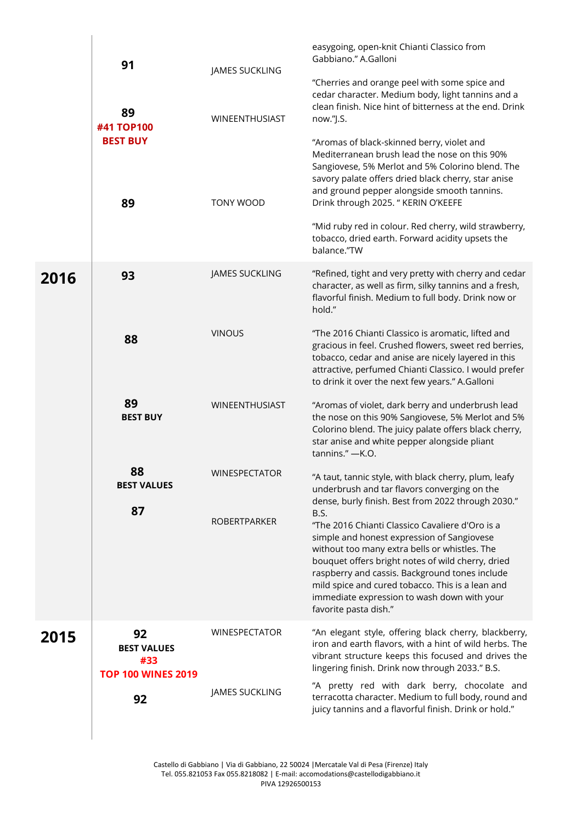|      | 91<br>89<br>#41 TOP100                                       | JAMES SUCKLING<br>WINEENTHUSIAST | easygoing, open-knit Chianti Classico from<br>Gabbiano." A.Galloni<br>"Cherries and orange peel with some spice and<br>cedar character. Medium body, light tannins and a<br>clean finish. Nice hint of bitterness at the end. Drink<br>now."J.S.                                                                                                                                                                         |
|------|--------------------------------------------------------------|----------------------------------|--------------------------------------------------------------------------------------------------------------------------------------------------------------------------------------------------------------------------------------------------------------------------------------------------------------------------------------------------------------------------------------------------------------------------|
|      | <b>BEST BUY</b><br>89                                        | TONY WOOD                        | "Aromas of black-skinned berry, violet and<br>Mediterranean brush lead the nose on this 90%<br>Sangiovese, 5% Merlot and 5% Colorino blend. The<br>savory palate offers dried black cherry, star anise<br>and ground pepper alongside smooth tannins.<br>Drink through 2025. " KERIN O'KEEFE<br>"Mid ruby red in colour. Red cherry, wild strawberry,<br>tobacco, dried earth. Forward acidity upsets the<br>balance."TW |
| 2016 | 93                                                           | JAMES SUCKLING                   | "Refined, tight and very pretty with cherry and cedar<br>character, as well as firm, silky tannins and a fresh,<br>flavorful finish. Medium to full body. Drink now or<br>hold."                                                                                                                                                                                                                                         |
|      | 88                                                           | <b>VINOUS</b>                    | "The 2016 Chianti Classico is aromatic, lifted and<br>gracious in feel. Crushed flowers, sweet red berries,<br>tobacco, cedar and anise are nicely layered in this<br>attractive, perfumed Chianti Classico. I would prefer<br>to drink it over the next few years." A.Galloni                                                                                                                                           |
|      | 89<br><b>BEST BUY</b>                                        | WINEENTHUSIAST                   | "Aromas of violet, dark berry and underbrush lead<br>the nose on this 90% Sangiovese, 5% Merlot and 5%<br>Colorino blend. The juicy palate offers black cherry,<br>star anise and white pepper alongside pliant<br>tannins." - K.O.                                                                                                                                                                                      |
|      | 88<br><b>BEST VALUES</b>                                     | <b>WINESPECTATOR</b>             | "A taut, tannic style, with black cherry, plum, leafy<br>underbrush and tar flavors converging on the<br>dense, burly finish. Best from 2022 through 2030."                                                                                                                                                                                                                                                              |
|      | 87                                                           | <b>ROBERTPARKER</b>              | B.S.<br>"The 2016 Chianti Classico Cavaliere d'Oro is a<br>simple and honest expression of Sangiovese<br>without too many extra bells or whistles. The<br>bouquet offers bright notes of wild cherry, dried<br>raspberry and cassis. Background tones include<br>mild spice and cured tobacco. This is a lean and<br>immediate expression to wash down with your<br>favorite pasta dish."                                |
| 2015 | 92<br><b>BEST VALUES</b><br>#33<br><b>TOP 100 WINES 2019</b> | <b>WINESPECTATOR</b>             | "An elegant style, offering black cherry, blackberry,<br>iron and earth flavors, with a hint of wild herbs. The<br>vibrant structure keeps this focused and drives the<br>lingering finish. Drink now through 2033." B.S.                                                                                                                                                                                                |
|      | 92                                                           | JAMES SUCKLING                   | "A pretty red with dark berry, chocolate and<br>terracotta character. Medium to full body, round and<br>juicy tannins and a flavorful finish. Drink or hold."                                                                                                                                                                                                                                                            |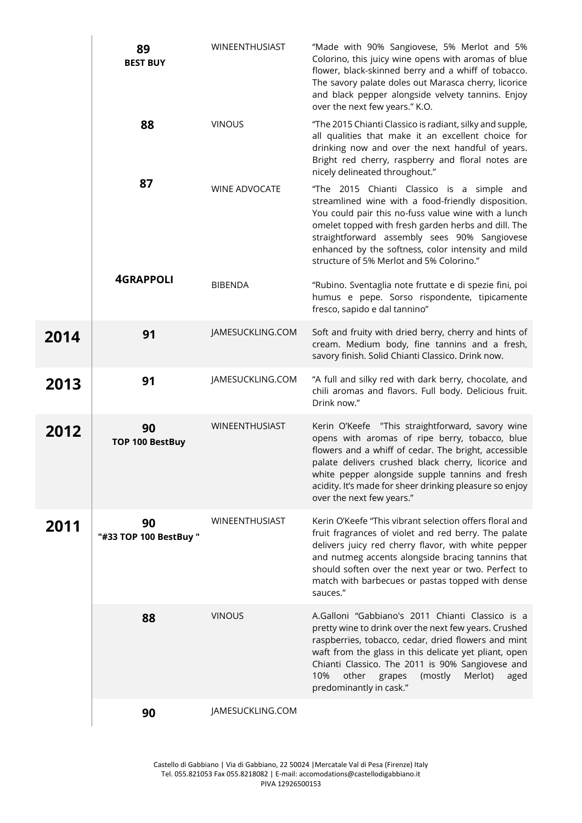|      | 89<br><b>BEST BUY</b>        | WINEENTHUSIAST       | "Made with 90% Sangiovese, 5% Merlot and 5%<br>Colorino, this juicy wine opens with aromas of blue<br>flower, black-skinned berry and a whiff of tobacco.<br>The savory palate doles out Marasca cherry, licorice<br>and black pepper alongside velvety tannins. Enjoy<br>over the next few years." K.O.                                                         |
|------|------------------------------|----------------------|------------------------------------------------------------------------------------------------------------------------------------------------------------------------------------------------------------------------------------------------------------------------------------------------------------------------------------------------------------------|
|      | 88                           | <b>VINOUS</b>        | "The 2015 Chianti Classico is radiant, silky and supple,<br>all qualities that make it an excellent choice for<br>drinking now and over the next handful of years.<br>Bright red cherry, raspberry and floral notes are<br>nicely delineated throughout."                                                                                                        |
|      | 87                           | <b>WINE ADVOCATE</b> | "The 2015 Chianti Classico is a simple and<br>streamlined wine with a food-friendly disposition.<br>You could pair this no-fuss value wine with a lunch<br>omelet topped with fresh garden herbs and dill. The<br>straightforward assembly sees 90% Sangiovese<br>enhanced by the softness, color intensity and mild<br>structure of 5% Merlot and 5% Colorino." |
|      | <b>4GRAPPOLI</b>             | <b>BIBENDA</b>       | "Rubino. Sventaglia note fruttate e di spezie fini, poi<br>humus e pepe. Sorso rispondente, tipicamente<br>fresco, sapido e dal tannino"                                                                                                                                                                                                                         |
| 2014 | 91                           | JAMESUCKLING.COM     | Soft and fruity with dried berry, cherry and hints of<br>cream. Medium body, fine tannins and a fresh,<br>savory finish. Solid Chianti Classico. Drink now.                                                                                                                                                                                                      |
| 2013 | 91                           | JAMESUCKLING.COM     | "A full and silky red with dark berry, chocolate, and<br>chili aromas and flavors. Full body. Delicious fruit.<br>Drink now."                                                                                                                                                                                                                                    |
| 2012 | 90<br><b>TOP 100 BestBuy</b> | WINEENTHUSIAST       | Kerin O'Keefe "This straightforward, savory wine<br>opens with aromas of ripe berry, tobacco, blue<br>flowers and a whiff of cedar. The bright, accessible<br>palate delivers crushed black cherry, licorice and<br>white pepper alongside supple tannins and fresh<br>acidity. It's made for sheer drinking pleasure so enjoy<br>over the next few years."      |
| 2011 | 90<br>"#33 TOP 100 BestBuy " | WINEENTHUSIAST       | Kerin O'Keefe "This vibrant selection offers floral and<br>fruit fragrances of violet and red berry. The palate<br>delivers juicy red cherry flavor, with white pepper<br>and nutmeg accents alongside bracing tannins that<br>should soften over the next year or two. Perfect to<br>match with barbecues or pastas topped with dense<br>sauces."               |
|      | 88                           | <b>VINOUS</b>        | A.Galloni "Gabbiano's 2011 Chianti Classico is a<br>pretty wine to drink over the next few years. Crushed<br>raspberries, tobacco, cedar, dried flowers and mint<br>waft from the glass in this delicate yet pliant, open<br>Chianti Classico. The 2011 is 90% Sangiovese and<br>10%<br>other<br>(mostly<br>Merlot)<br>grapes<br>aged<br>predominantly in cask." |
|      | 90                           | JAMESUCKLING.COM     |                                                                                                                                                                                                                                                                                                                                                                  |